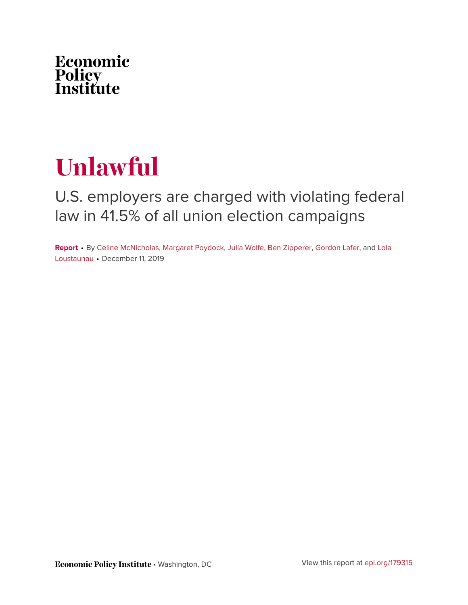

# **Unlawful**

## U.S. employers are charged with violating federal law in 41.5% of all union election campaigns

**Report** • By [Celine McNicholas](https://www.epi.org/people/celine-mcnicholas/), [Margaret Poydock](https://www.epi.org/people/margaret-poydock/), [Julia Wolfe,](https://www.epi.org/people/julia-wolfe/) [Ben Zipperer,](https://www.epi.org/people/ben-zipperer/) [Gordon Lafer](https://www.epi.org/people/gordon-lafer/), and [Lola](https://www.epi.org/people/lola-loustaunau/) [Loustaunau](https://www.epi.org/people/lola-loustaunau/) • December 11, 2019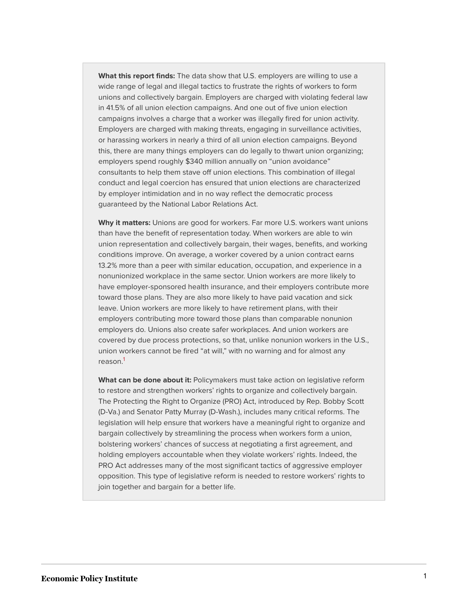**What this report finds:** The data show that U.S. employers are willing to use a wide range of legal and illegal tactics to frustrate the rights of workers to form unions and collectively bargain. Employers are charged with violating federal law in 41.5% of all union election campaigns. And one out of five union election campaigns involves a charge that a worker was illegally fired for union activity. Employers are charged with making threats, engaging in surveillance activities, or harassing workers in nearly a third of all union election campaigns. Beyond this, there are many things employers can do legally to thwart union organizing; employers spend roughly \$340 million annually on "union avoidance" consultants to help them stave off union elections. This combination of illegal conduct and legal coercion has ensured that union elections are characterized by employer intimidation and in no way reflect the democratic process guaranteed by the National Labor Relations Act.

**Why it matters:** Unions are good for workers. Far more U.S. workers want unions than have the benefit of representation today. When workers are able to win union representation and collectively bargain, their wages, benefits, and working conditions improve. On average, a worker covered by a union contract earns 13.2% more than a peer with similar education, occupation, and experience in a nonunionized workplace in the same sector. Union workers are more likely to have employer-sponsored health insurance, and their employers contribute more toward those plans. They are also more likely to have paid vacation and sick leave. Union workers are more likely to have retirement plans, with their employers contributing more toward those plans than comparable nonunion employers do. Unions also create safer workplaces. And union workers are covered by due process protections, so that, unlike nonunion workers in the U.S., union workers cannot be fired "at will," with no warning and for almost any reason.[1](#page-14-0)

<span id="page-1-0"></span>**What can be done about it:** Policymakers must take action on legislative reform to restore and strengthen workers' rights to organize and collectively bargain. The Protecting the Right to Organize (PRO) Act, introduced by Rep. Bobby Scott (D-Va.) and Senator Patty Murray (D-Wash.), includes many critical reforms. The legislation will help ensure that workers have a meaningful right to organize and bargain collectively by streamlining the process when workers form a union, bolstering workers' chances of success at negotiating a first agreement, and holding employers accountable when they violate workers' rights. Indeed, the PRO Act addresses many of the most significant tactics of aggressive employer opposition. This type of legislative reform is needed to restore workers' rights to join together and bargain for a better life.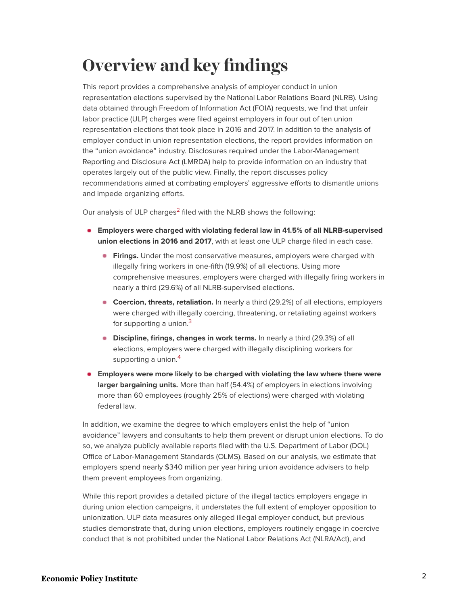## **Overview and key findings**

This report provides a comprehensive analysis of employer conduct in union representation elections supervised by the National Labor Relations Board (NLRB). Using data obtained through Freedom of Information Act (FOIA) requests, we find that unfair labor practice (ULP) charges were filed against employers in four out of ten union representation elections that took place in 2016 and 2017. In addition to the analysis of employer conduct in union representation elections, the report provides information on the "union avoidance" industry. Disclosures required under the Labor-Management Reporting and Disclosure Act (LMRDA) help to provide information on an industry that operates largely out of the public view. Finally, the report discusses policy recommendations aimed at combating employers' aggressive efforts to dismantle unions and impede organizing efforts.

<span id="page-2-0"></span>Our analysis of ULP charges<sup>[2](#page-14-1)</sup> filed with the NLRB shows the following:

- **Employers were charged with violating federal law in 41.5% of all NLRB-supervised union elections in 2016 and 2017**, with at least one ULP charge filed in each case.
	- **Firings.** Under the most conservative measures, employers were charged with illegally firing workers in one-fifth (19.9%) of all elections. Using more comprehensive measures, employers were charged with illegally firing workers in nearly a third (29.6%) of all NLRB-supervised elections.
	- **Coercion, threats, retaliation.** In nearly a third (29.2%) of all elections, employers were charged with illegally coercing, threatening, or retaliating against workers for supporting a union.<sup>[3](#page-14-2)</sup>
	- **Discipline, firings, changes in work terms.** In nearly a third (29.3%) of all elections, employers were charged with illegally disciplining workers for supporting a union.<sup>[4](#page-14-3)</sup>
- <span id="page-2-2"></span><span id="page-2-1"></span>**Employers were more likely to be charged with violating the law where there were larger bargaining units.** More than half (54.4%) of employers in elections involving more than 60 employees (roughly 25% of elections) were charged with violating federal law.

In addition, we examine the degree to which employers enlist the help of "union avoidance" lawyers and consultants to help them prevent or disrupt union elections. To do so, we analyze publicly available reports filed with the U.S. Department of Labor (DOL) Office of Labor-Management Standards (OLMS). Based on our analysis, we estimate that employers spend nearly \$340 million per year hiring union avoidance advisers to help them prevent employees from organizing.

While this report provides a detailed picture of the illegal tactics employers engage in during union election campaigns, it understates the full extent of employer opposition to unionization. ULP data measures only alleged illegal employer conduct, but previous studies demonstrate that, during union elections, employers routinely engage in coercive conduct that is not prohibited under the National Labor Relations Act (NLRA/Act), and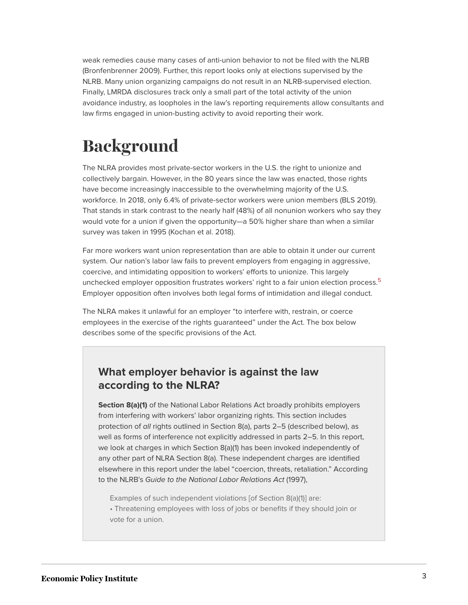weak remedies cause many cases of anti-union behavior to not be filed with the NLRB (Bronfenbrenner 2009). Further, this report looks only at elections supervised by the NLRB. Many union organizing campaigns do not result in an NLRB-supervised election. Finally, LMRDA disclosures track only a small part of the total activity of the union avoidance industry, as loopholes in the law's reporting requirements allow consultants and law firms engaged in union-busting activity to avoid reporting their work.

## **Background**

The NLRA provides most private-sector workers in the U.S. the right to unionize and collectively bargain. However, in the 80 years since the law was enacted, those rights have become increasingly inaccessible to the overwhelming majority of the U.S. workforce. In 2018, only 6.4% of private-sector workers were union members (BLS 2019). That stands in stark contrast to the nearly half (48%) of all nonunion workers who say they would vote for a union if given the opportunity—a 50% higher share than when a similar survey was taken in 1995 (Kochan et al. 2018).

<span id="page-3-0"></span>Far more workers want union representation than are able to obtain it under our current system. Our nation's labor law fails to prevent employers from engaging in aggressive, coercive, and intimidating opposition to workers' efforts to unionize. This largely unchecked employer opposition frustrates workers' right to a fair union election process.<sup>[5](#page-14-4)</sup> Employer opposition often involves both legal forms of intimidation and illegal conduct.

The NLRA makes it unlawful for an employer "to interfere with, restrain, or coerce employees in the exercise of the rights guaranteed" under the Act. The box below describes some of the specific provisions of the Act.

### **What employer behavior is against the law according to the NLRA?**

**Section 8(a)(1)** of the National Labor Relations Act broadly prohibits employers from interfering with workers' labor organizing rights. This section includes protection of all rights outlined in Section 8(a), parts 2–5 (described below), as well as forms of interference not explicitly addressed in parts 2–5. In this report, we look at charges in which Section 8(a)(1) has been invoked independently of any other part of NLRA Section 8(a). These independent charges are identified elsewhere in this report under the label "coercion, threats, retaliation." According to the NLRB's Guide to the National Labor Relations Act (1997),

Examples of such independent violations [of Section 8(a)(1)] are:

• Threatening employees with loss of jobs or benefits if they should join or vote for a union.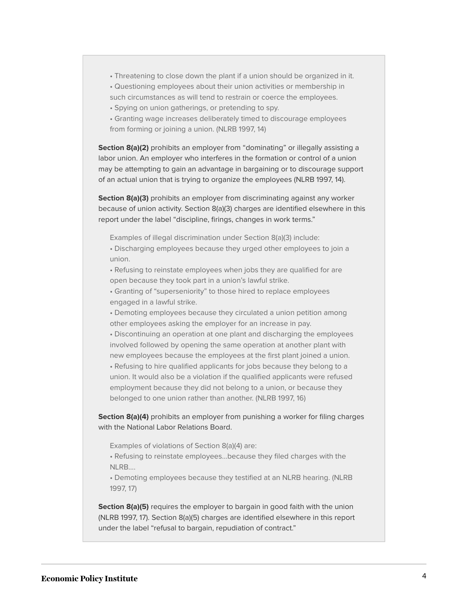• Threatening to close down the plant if a union should be organized in it.

• Questioning employees about their union activities or membership in such circumstances as will tend to restrain or coerce the employees.

• Spying on union gatherings, or pretending to spy.

• Granting wage increases deliberately timed to discourage employees from forming or joining a union. (NLRB 1997, 14)

**Section 8(a)(2)** prohibits an employer from "dominating" or illegally assisting a labor union. An employer who interferes in the formation or control of a union may be attempting to gain an advantage in bargaining or to discourage support of an actual union that is trying to organize the employees (NLRB 1997, 14).

**Section 8(a)(3)** prohibits an employer from discriminating against any worker because of union activity. Section 8(a)(3) charges are identified elsewhere in this report under the label "discipline, firings, changes in work terms."

Examples of illegal discrimination under Section 8(a)(3) include:

• Discharging employees because they urged other employees to join a union.

• Refusing to reinstate employees when jobs they are qualified for are open because they took part in a union's lawful strike.

• Granting of "superseniority" to those hired to replace employees engaged in a lawful strike.

• Demoting employees because they circulated a union petition among other employees asking the employer for an increase in pay.

• Discontinuing an operation at one plant and discharging the employees involved followed by opening the same operation at another plant with new employees because the employees at the first plant joined a union.

• Refusing to hire qualified applicants for jobs because they belong to a union. It would also be a violation if the qualified applicants were refused employment because they did not belong to a union, or because they belonged to one union rather than another. (NLRB 1997, 16)

**Section 8(a)(4)** prohibits an employer from punishing a worker for filing charges with the National Labor Relations Board.

Examples of violations of Section 8(a)(4) are:

• Refusing to reinstate employees…because they filed charges with the NLRB….

• Demoting employees because they testified at an NLRB hearing. (NLRB 1997, 17)

**Section 8(a)(5)** requires the employer to bargain in good faith with the union (NLRB 1997, 17). Section 8(a)(5) charges are identified elsewhere in this report under the label "refusal to bargain, repudiation of contract."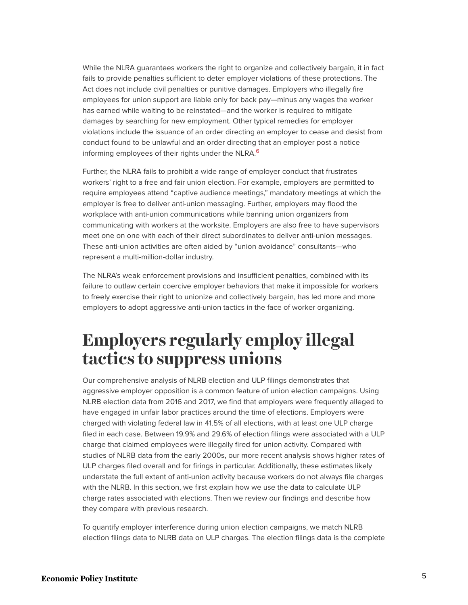While the NLRA guarantees workers the right to organize and collectively bargain, it in fact fails to provide penalties sufficient to deter employer violations of these protections. The Act does not include civil penalties or punitive damages. Employers who illegally fire employees for union support are liable only for back pay—minus any wages the worker has earned while waiting to be reinstated—and the worker is required to mitigate damages by searching for new employment. Other typical remedies for employer violations include the issuance of an order directing an employer to cease and desist from conduct found to be unlawful and an order directing that an employer post a notice informing employees of their rights under the NLRA.<sup>[6](#page-14-5)</sup>

<span id="page-5-0"></span>Further, the NLRA fails to prohibit a wide range of employer conduct that frustrates workers' right to a free and fair union election. For example, employers are permitted to require employees attend "captive audience meetings," mandatory meetings at which the employer is free to deliver anti-union messaging. Further, employers may flood the workplace with anti-union communications while banning union organizers from communicating with workers at the worksite. Employers are also free to have supervisors meet one on one with each of their direct subordinates to deliver anti-union messages. These anti-union activities are often aided by "union avoidance" consultants—who represent a multi-million-dollar industry.

The NLRA's weak enforcement provisions and insufficient penalties, combined with its failure to outlaw certain coercive employer behaviors that make it impossible for workers to freely exercise their right to unionize and collectively bargain, has led more and more employers to adopt aggressive anti-union tactics in the face of worker organizing.

## **Employers regularly employ illegal tactics to suppress unions**

Our comprehensive analysis of NLRB election and ULP filings demonstrates that aggressive employer opposition is a common feature of union election campaigns. Using NLRB election data from 2016 and 2017, we find that employers were frequently alleged to have engaged in unfair labor practices around the time of elections. Employers were charged with violating federal law in 41.5% of all elections, with at least one ULP charge filed in each case. Between 19.9% and 29.6% of election filings were associated with a ULP charge that claimed employees were illegally fired for union activity. Compared with studies of NLRB data from the early 2000s, our more recent analysis shows higher rates of ULP charges filed overall and for firings in particular. Additionally, these estimates likely understate the full extent of anti-union activity because workers do not always file charges with the NLRB. In this section, we first explain how we use the data to calculate ULP charge rates associated with elections. Then we review our findings and describe how they compare with previous research.

To quantify employer interference during union election campaigns, we match NLRB election filings data to NLRB data on ULP charges. The election filings data is the complete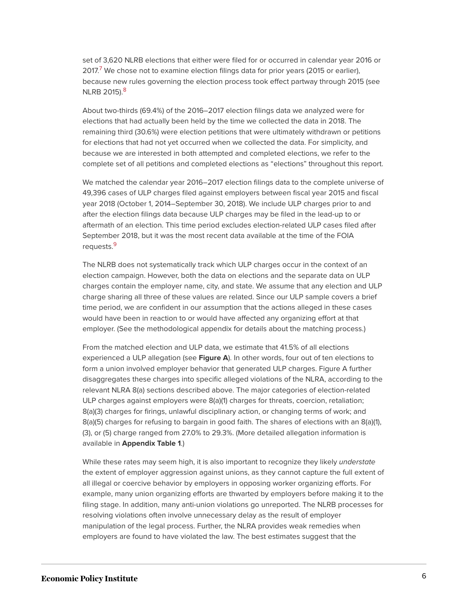<span id="page-6-0"></span>set of 3,620 NLRB elections that either were filed for or occurred in calendar year 2016 or 201[7](#page-14-6).<sup>7</sup> We chose not to examine election filings data for prior years (2015 or earlier), because new rules governing the election process took effect partway through 2015 (see NLRB 2015).<sup>[8](#page-14-7)</sup>

<span id="page-6-1"></span>About two-thirds (69.4%) of the 2016–2017 election filings data we analyzed were for elections that had actually been held by the time we collected the data in 2018. The remaining third (30.6%) were election petitions that were ultimately withdrawn or petitions for elections that had not yet occurred when we collected the data. For simplicity, and because we are interested in both attempted and completed elections, we refer to the complete set of all petitions and completed elections as "elections" throughout this report.

We matched the calendar year 2016–2017 election filings data to the complete universe of 49,396 cases of ULP charges filed against employers between fiscal year 2015 and fiscal year 2018 (October 1, 2014–September 30, 2018). We include ULP charges prior to and after the election filings data because ULP charges may be filed in the lead-up to or aftermath of an election. This time period excludes election-related ULP cases filed after September 2018, but it was the most recent data available at the time of the FOIA requests.<sup>[9](#page-14-8)</sup>

<span id="page-6-2"></span>The NLRB does not systematically track which ULP charges occur in the context of an election campaign. However, both the data on elections and the separate data on ULP charges contain the employer name, city, and state. We assume that any election and ULP charge sharing all three of these values are related. Since our ULP sample covers a brief time period, we are confident in our assumption that the actions alleged in these cases would have been in reaction to or would have affected any organizing effort at that employer. (See the methodological appendix for details about the matching process.)

From the matched election and ULP data, we estimate that 41.5% of all elections experienced a ULP allegation (see **Figure A**). In other words, four out of ten elections to form a union involved employer behavior that generated ULP charges. Figure A further disaggregates these charges into specific alleged violations of the NLRA, according to the relevant NLRA 8(a) sections described above. The major categories of election-related ULP charges against employers were 8(a)(1) charges for threats, coercion, retaliation; 8(a)(3) charges for firings, unlawful disciplinary action, or changing terms of work; and 8(a)(5) charges for refusing to bargain in good faith. The shares of elections with an 8(a)(1), (3), or (5) charge ranged from 27.0% to 29.3%. (More detailed allegation information is available in **Appendix Table 1**.)

While these rates may seem high, it is also important to recognize they likely understate the extent of employer aggression against unions, as they cannot capture the full extent of all illegal or coercive behavior by employers in opposing worker organizing efforts. For example, many union organizing efforts are thwarted by employers before making it to the filing stage. In addition, many anti-union violations go unreported. The NLRB processes for resolving violations often involve unnecessary delay as the result of employer manipulation of the legal process. Further, the NLRA provides weak remedies when employers are found to have violated the law. The best estimates suggest that the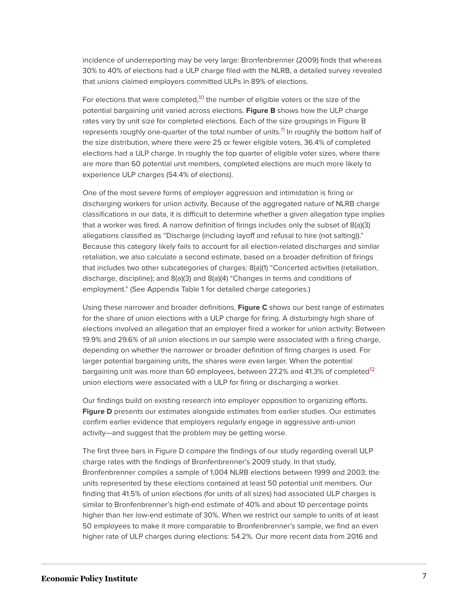incidence of underreporting may be very large: Bronfenbrenner (2009) finds that whereas 30% to 40% of elections had a ULP charge filed with the NLRB, a detailed survey revealed that unions claimed employers committed ULPs in 89% of elections.

<span id="page-7-1"></span><span id="page-7-0"></span>For elections that were completed,<sup>[10](#page-14-9)</sup> the number of eligible voters or the size of the potential bargaining unit varied across elections. **Figure B** shows how the ULP charge rates vary by unit size for completed elections. Each of the size groupings in Figure B represents roughly one-quarter of the total number of units.<sup>[11](#page-14-10)</sup> In roughly the bottom half of the size distribution, where there were 25 or fewer eligible voters, 36.4% of completed elections had a ULP charge. In roughly the top quarter of eligible voter sizes, where there are more than 60 potential unit members, completed elections are much more likely to experience ULP charges (54.4% of elections).

One of the most severe forms of employer aggression and intimidation is firing or discharging workers for union activity. Because of the aggregated nature of NLRB charge classifications in our data, it is difficult to determine whether a given allegation type implies that a worker was fired. A narrow definition of firings includes only the subset of 8(a)(3) allegations classified as "Discharge (including layoff and refusal to hire (not salting))." Because this category likely fails to account for all election-related discharges and similar retaliation, we also calculate a second estimate, based on a broader definition of firings that includes two other subcategories of charges: 8(a)(1) "Concerted activities (retaliation, discharge, discipline); and 8(a)(3) and 8(a)(4) "Changes in terms and conditions of employment." (See Appendix Table 1 for detailed charge categories.)

Using these narrower and broader definitions, **Figure C** shows our best range of estimates for the share of union elections with a ULP charge for firing. A disturbingly high share of elections involved an allegation that an employer fired a worker for union activity: Between 19.9% and 29.6% of all union elections in our sample were associated with a firing charge, depending on whether the narrower or broader definition of firing charges is used. For larger potential bargaining units, the shares were even larger. When the potential bargaining unit was more than 60 employees, between 27.2% and 41.3% of completed<sup>[12](#page-14-11)</sup> union elections were associated with a ULP for firing or discharging a worker.

<span id="page-7-2"></span>Our findings build on existing research into employer opposition to organizing efforts. **Figure D** presents our estimates alongside estimates from earlier studies. Our estimates confirm earlier evidence that employers regularly engage in aggressive anti-union activity—and suggest that the problem may be getting worse.

The first three bars in Figure D compare the findings of our study regarding overall ULP charge rates with the findings of Bronfenbrenner's 2009 study. In that study, Bronfenbrenner compiles a sample of 1,004 NLRB elections between 1999 and 2003; the units represented by these elections contained at least 50 potential unit members. Our finding that 41.5% of union elections (for units of all sizes) had associated ULP charges is similar to Bronfenbrenner's high-end estimate of 40% and about 10 percentage points higher than her low-end estimate of 30%. When we restrict our sample to units of at least 50 employees to make it more comparable to Bronfenbrenner's sample, we find an even higher rate of ULP charges during elections: 54.2%. Our more recent data from 2016 and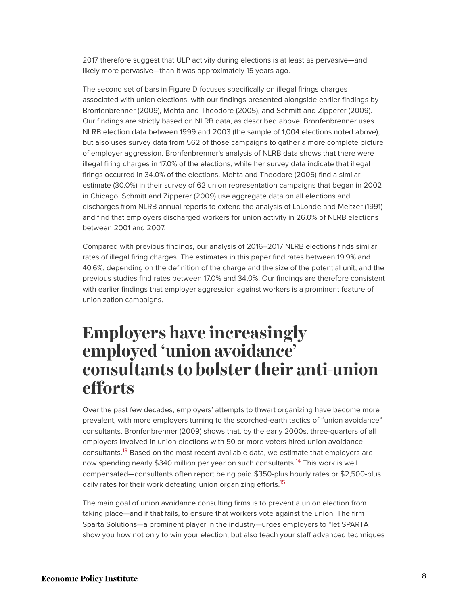2017 therefore suggest that ULP activity during elections is at least as pervasive—and likely more pervasive—than it was approximately 15 years ago.

The second set of bars in Figure D focuses specifically on illegal firings charges associated with union elections, with our findings presented alongside earlier findings by Bronfenbrenner (2009), Mehta and Theodore (2005), and Schmitt and Zipperer (2009). Our findings are strictly based on NLRB data, as described above. Bronfenbrenner uses NLRB election data between 1999 and 2003 (the sample of 1,004 elections noted above), but also uses survey data from 562 of those campaigns to gather a more complete picture of employer aggression. Bronfenbrenner's analysis of NLRB data shows that there were illegal firing charges in 17.0% of the elections, while her survey data indicate that illegal firings occurred in 34.0% of the elections. Mehta and Theodore (2005) find a similar estimate (30.0%) in their survey of 62 union representation campaigns that began in 2002 in Chicago. Schmitt and Zipperer (2009) use aggregate data on all elections and discharges from NLRB annual reports to extend the analysis of LaLonde and Meltzer (1991) and find that employers discharged workers for union activity in 26.0% of NLRB elections between 2001 and 2007.

Compared with previous findings, our analysis of 2016–2017 NLRB elections finds similar rates of illegal firing charges. The estimates in this paper find rates between 19.9% and 40.6%, depending on the definition of the charge and the size of the potential unit, and the previous studies find rates between 17.0% and 34.0%. Our findings are therefore consistent with earlier findings that employer aggression against workers is a prominent feature of unionization campaigns.

## **Employers have increasingly employed 'union avoidance' consultants to bolster their anti-union efforts**

<span id="page-8-0"></span>Over the past few decades, employers' attempts to thwart organizing have become more prevalent, with more employers turning to the scorched-earth tactics of "union avoidance" consultants. Bronfenbrenner (2009) shows that, by the early 2000s, three-quarters of all employers involved in union elections with 50 or more voters hired union avoidance consultants.<sup>[13](#page-14-12)</sup> Based on the most recent available data, we estimate that employers are now spending nearly \$340 million per year on such consultants.<sup>[14](#page-14-13)</sup> This work is well compensated—consultants often report being paid \$350-plus hourly rates or \$2,500-plus daily rates for their work defeating union organizing efforts.<sup>[15](#page-14-14)</sup>

<span id="page-8-2"></span><span id="page-8-1"></span>The main goal of union avoidance consulting firms is to prevent a union election from taking place—and if that fails, to ensure that workers vote against the union. The firm Sparta Solutions—a prominent player in the industry—urges employers to "let SPARTA show you how not only to win your election, but also teach your staff advanced techniques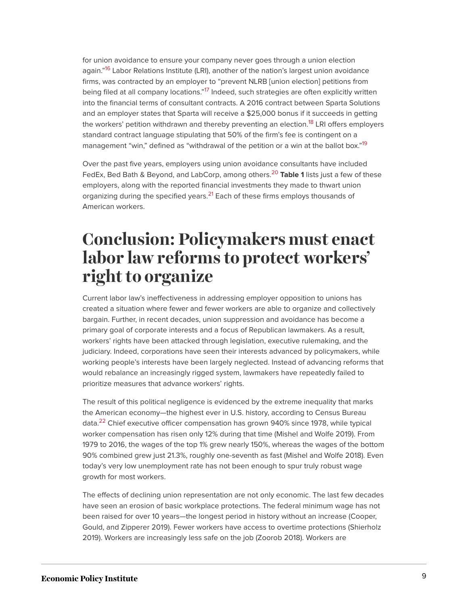<span id="page-9-1"></span><span id="page-9-0"></span>for union avoidance to ensure your company never goes through a union election again."<sup>[16](#page-15-0)</sup> Labor Relations Institute (LRI), another of the nation's largest union avoidance firms, was contracted by an employer to "prevent NLRB [union election] petitions from being filed at all company locations."<sup>[17](#page-15-1)</sup> Indeed, such strategies are often explicitly written into the financial terms of consultant contracts. A 2016 contract between Sparta Solutions and an employer states that Sparta will receive a \$25,000 bonus if it succeeds in getting the workers' petition withdrawn and thereby preventing an election.<sup>[18](#page-15-2)</sup> LRI offers employers standard contract language stipulating that 50% of the firm's fee is contingent on a management "win," defined as "withdrawal of the petition or a win at the ballot box."<sup>[19](#page-15-3)</sup>

<span id="page-9-5"></span><span id="page-9-4"></span><span id="page-9-3"></span><span id="page-9-2"></span>Over the past five years, employers using union avoidance consultants have included FedEx, Bed Bath & Beyond, and LabCorp, among others.[20](#page-15-4) **Table 1** lists just a few of these employers, along with the reported financial investments they made to thwart union organizing during the specified years.<sup>[21](#page-15-5)</sup> Each of these firms employs thousands of American workers.

## **Conclusion: Policymakers must enact labor law reforms to protect workers' right to organize**

Current labor law's ineffectiveness in addressing employer opposition to unions has created a situation where fewer and fewer workers are able to organize and collectively bargain. Further, in recent decades, union suppression and avoidance has become a primary goal of corporate interests and a focus of Republican lawmakers. As a result, workers' rights have been attacked through legislation, executive rulemaking, and the judiciary. Indeed, corporations have seen their interests advanced by policymakers, while working people's interests have been largely neglected. Instead of advancing reforms that would rebalance an increasingly rigged system, lawmakers have repeatedly failed to prioritize measures that advance workers' rights.

<span id="page-9-6"></span>The result of this political negligence is evidenced by the extreme inequality that marks the American economy—the highest ever in U.S. history, according to Census Bureau data.<sup>[22](#page-15-6)</sup> Chief executive officer compensation has grown 940% since 1978, while typical worker compensation has risen only 12% during that time (Mishel and Wolfe 2019). From 1979 to 2016, the wages of the top 1% grew nearly 150%, whereas the wages of the bottom 90% combined grew just 21.3%, roughly one-seventh as fast (Mishel and Wolfe 2018). Even today's very low unemployment rate has not been enough to spur truly robust wage growth for most workers.

The effects of declining union representation are not only economic. The last few decades have seen an erosion of basic workplace protections. The federal minimum wage has not been raised for over 10 years—the longest period in history without an increase (Cooper, Gould, and Zipperer 2019). Fewer workers have access to overtime protections (Shierholz 2019). Workers are increasingly less safe on the job (Zoorob 2018). Workers are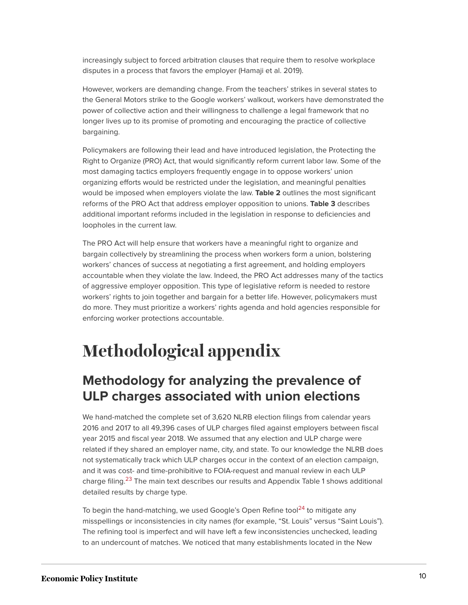increasingly subject to forced arbitration clauses that require them to resolve workplace disputes in a process that favors the employer (Hamaji et al. 2019).

However, workers are demanding change. From the teachers' strikes in several states to the General Motors strike to the Google workers' walkout, workers have demonstrated the power of collective action and their willingness to challenge a legal framework that no longer lives up to its promise of promoting and encouraging the practice of collective bargaining.

Policymakers are following their lead and have introduced legislation, the Protecting the Right to Organize (PRO) Act, that would significantly reform current labor law. Some of the most damaging tactics employers frequently engage in to oppose workers' union organizing efforts would be restricted under the legislation, and meaningful penalties would be imposed when employers violate the law. **Table 2** outlines the most significant reforms of the PRO Act that address employer opposition to unions. **Table 3** describes additional important reforms included in the legislation in response to deficiencies and loopholes in the current law.

The PRO Act will help ensure that workers have a meaningful right to organize and bargain collectively by streamlining the process when workers form a union, bolstering workers' chances of success at negotiating a first agreement, and holding employers accountable when they violate the law. Indeed, the PRO Act addresses many of the tactics of aggressive employer opposition. This type of legislative reform is needed to restore workers' rights to join together and bargain for a better life. However, policymakers must do more. They must prioritize a workers' rights agenda and hold agencies responsible for enforcing worker protections accountable.

# **Methodological appendix**

## **Methodology for analyzing the prevalence of ULP charges associated with union elections**

We hand-matched the complete set of 3,620 NLRB election filings from calendar years 2016 and 2017 to all 49,396 cases of ULP charges filed against employers between fiscal year 2015 and fiscal year 2018. We assumed that any election and ULP charge were related if they shared an employer name, city, and state. To our knowledge the NLRB does not systematically track which ULP charges occur in the context of an election campaign, and it was cost- and time-prohibitive to FOIA-request and manual review in each ULP charge filing.<sup>[23](#page-15-7)</sup> The main text describes our results and Appendix Table 1 shows additional detailed results by charge type.

<span id="page-10-1"></span><span id="page-10-0"></span>To begin the hand-matching, we used Google's Open Refine tool<sup>[24](#page-15-8)</sup> to mitigate any misspellings or inconsistencies in city names (for example, "St. Louis" versus "Saint Louis"). The refining tool is imperfect and will have left a few inconsistencies unchecked, leading to an undercount of matches. We noticed that many establishments located in the New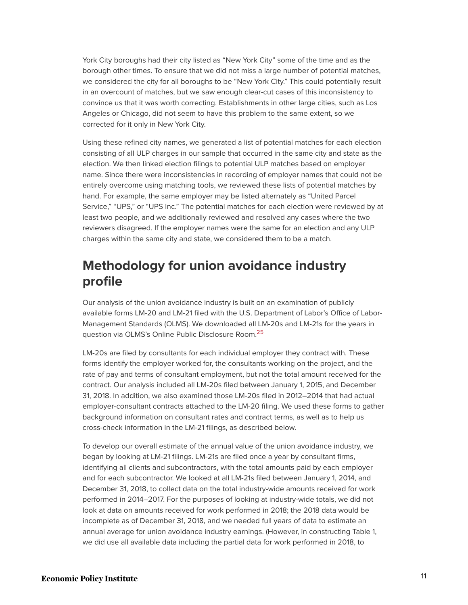York City boroughs had their city listed as "New York City" some of the time and as the borough other times. To ensure that we did not miss a large number of potential matches, we considered the city for all boroughs to be "New York City." This could potentially result in an overcount of matches, but we saw enough clear-cut cases of this inconsistency to convince us that it was worth correcting. Establishments in other large cities, such as Los Angeles or Chicago, did not seem to have this problem to the same extent, so we corrected for it only in New York City.

Using these refined city names, we generated a list of potential matches for each election consisting of all ULP charges in our sample that occurred in the same city and state as the election. We then linked election filings to potential ULP matches based on employer name. Since there were inconsistencies in recording of employer names that could not be entirely overcome using matching tools, we reviewed these lists of potential matches by hand. For example, the same employer may be listed alternately as "United Parcel Service," "UPS," or "UPS Inc." The potential matches for each election were reviewed by at least two people, and we additionally reviewed and resolved any cases where the two reviewers disagreed. If the employer names were the same for an election and any ULP charges within the same city and state, we considered them to be a match.

## **Methodology for union avoidance industry profile**

Our analysis of the union avoidance industry is built on an examination of publicly available forms LM-20 and LM-21 filed with the U.S. Department of Labor's Office of Labor-Management Standards (OLMS). We downloaded all LM-20s and LM-21s for the years in question via OLMS's Online Public Disclosure Room.[25](#page-15-9)

<span id="page-11-0"></span>LM-20s are filed by consultants for each individual employer they contract with. These forms identify the employer worked for, the consultants working on the project, and the rate of pay and terms of consultant employment, but not the total amount received for the contract. Our analysis included all LM-20s filed between January 1, 2015, and December 31, 2018. In addition, we also examined those LM-20s filed in 2012–2014 that had actual employer-consultant contracts attached to the LM-20 filing. We used these forms to gather background information on consultant rates and contract terms, as well as to help us cross-check information in the LM-21 filings, as described below.

To develop our overall estimate of the annual value of the union avoidance industry, we began by looking at LM-21 filings. LM-21s are filed once a year by consultant firms, identifying all clients and subcontractors, with the total amounts paid by each employer and for each subcontractor. We looked at all LM-21s filed between January 1, 2014, and December 31, 2018, to collect data on the total industry-wide amounts received for work performed in 2014–2017. For the purposes of looking at industry-wide totals, we did not look at data on amounts received for work performed in 2018; the 2018 data would be incomplete as of December 31, 2018, and we needed full years of data to estimate an annual average for union avoidance industry earnings. (However, in constructing Table 1, we did use all available data including the partial data for work performed in 2018, to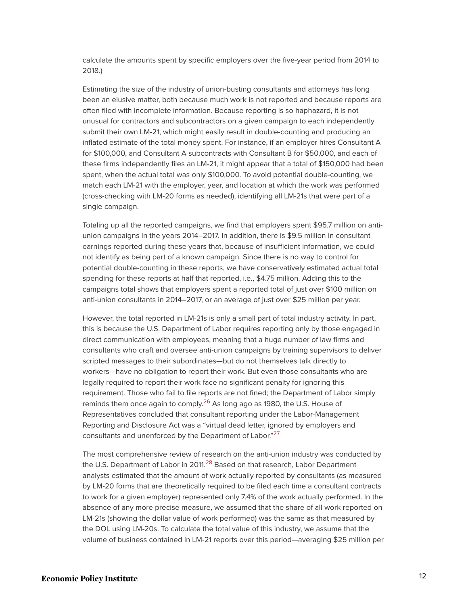calculate the amounts spent by specific employers over the five-year period from 2014 to 2018.)

Estimating the size of the industry of union-busting consultants and attorneys has long been an elusive matter, both because much work is not reported and because reports are often filed with incomplete information. Because reporting is so haphazard, it is not unusual for contractors and subcontractors on a given campaign to each independently submit their own LM-21, which might easily result in double-counting and producing an inflated estimate of the total money spent. For instance, if an employer hires Consultant A for \$100,000, and Consultant A subcontracts with Consultant B for \$50,000, and each of these firms independently files an LM-21, it might appear that a total of \$150,000 had been spent, when the actual total was only \$100,000. To avoid potential double-counting, we match each LM-21 with the employer, year, and location at which the work was performed (cross-checking with LM-20 forms as needed), identifying all LM-21s that were part of a single campaign.

Totaling up all the reported campaigns, we find that employers spent \$95.7 million on antiunion campaigns in the years 2014–2017. In addition, there is \$9.5 million in consultant earnings reported during these years that, because of insufficient information, we could not identify as being part of a known campaign. Since there is no way to control for potential double-counting in these reports, we have conservatively estimated actual total spending for these reports at half that reported, i.e., \$4.75 million. Adding this to the campaigns total shows that employers spent a reported total of just over \$100 million on anti-union consultants in 2014–2017, or an average of just over \$25 million per year.

However, the total reported in LM-21s is only a small part of total industry activity. In part, this is because the U.S. Department of Labor requires reporting only by those engaged in direct communication with employees, meaning that a huge number of law firms and consultants who craft and oversee anti-union campaigns by training supervisors to deliver scripted messages to their subordinates—but do not themselves talk directly to workers—have no obligation to report their work. But even those consultants who are legally required to report their work face no significant penalty for ignoring this requirement. Those who fail to file reports are not fined; the Department of Labor simply reminds them once again to comply.<sup>[26](#page-15-10)</sup> As long ago as 1980, the U.S. House of Representatives concluded that consultant reporting under the Labor-Management Reporting and Disclosure Act was a "virtual dead letter, ignored by employers and consultants and unenforced by the Department of Labor."<sup>[27](#page-15-11)</sup>

<span id="page-12-2"></span><span id="page-12-1"></span><span id="page-12-0"></span>The most comprehensive review of research on the anti-union industry was conducted by the U.S. Department of Labor in 2011.<sup>[28](#page-16-0)</sup> Based on that research, Labor Department analysts estimated that the amount of work actually reported by consultants (as measured by LM-20 forms that are theoretically required to be filed each time a consultant contracts to work for a given employer) represented only 7.4% of the work actually performed. In the absence of any more precise measure, we assumed that the share of all work reported on LM-21s (showing the dollar value of work performed) was the same as that measured by the DOL using LM-20s. To calculate the total value of this industry, we assume that the volume of business contained in LM-21 reports over this period—averaging \$25 million per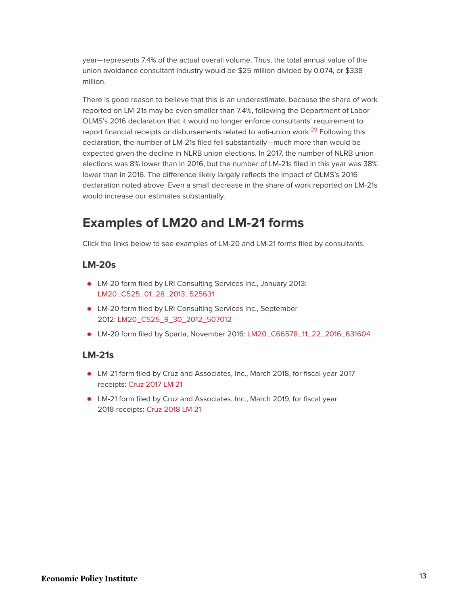year—represents 7.4% of the actual overall volume. Thus, the total annual value of the union avoidance consultant industry would be \$25 million divided by 0.074, or \$338 million.

<span id="page-13-0"></span>There is good reason to believe that this is an underestimate, because the share of work reported on LM-21s may be even smaller than 7.4%, following the Department of Labor OLMS's 2016 declaration that it would no longer enforce consultants' requirement to report financial receipts or disbursements related to anti-union work.<sup>[29](#page-16-1)</sup> Following this declaration, the number of LM-21s filed fell substantially—much more than would be expected given the decline in NLRB union elections. In 2017, the number of NLRB union elections was 8% lower than in 2016, but the number of LM-21s filed in this year was 38% lower than in 2016. The difference likely largely reflects the impact of OLMS's 2016 declaration noted above. Even a small decrease in the share of work reported on LM-21s would increase our estimates substantially.

## **Examples of LM20 and LM-21 forms**

Click the links below to see examples of LM-20 and LM-21 forms filed by consultants.

#### **LM-20s**

- **LM-20 form filed by LRI Consulting Services Inc., January 2013:** [LM20\\_C525\\_01\\_28\\_2013\\_525631](https://www.epi.org/files/uploads/LM20_C525_01_28_2013_525631-copy.pdf)
- LM-20 form filed by LRI Consulting Services Inc., September 2012: [LM20\\_C525\\_9\\_30\\_2012\\_507012](https://www.epi.org/files/uploads/LM20_C525_9_30_2012_507012-copy.pdf)
- LM-20 form filed by Sparta, November 2016: [LM20\\_C66578\\_11\\_22\\_2016\\_631604](https://www.epi.org/files/uploads/LM20_C66578_11_22_2016_631604-copy.pdf)

#### **LM-21s**

- LM-21 form filed by Cruz and Associates, Inc., March 2018, for fiscal year 2017 receipts: [Cruz 2017 LM 21](https://www.epi.org/files/uploads/Cruz-2017-LM-21.pdf)
- LM-21 form filed by Cruz and Associates, Inc., March 2019, for fiscal year 2018 receipts: [Cruz 2018 LM 21](https://www.epi.org/files/uploads/Cruz-2018-LM-21.pdf)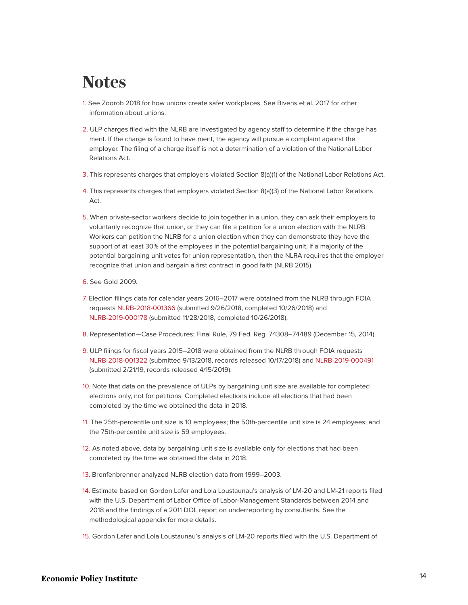## **Notes**

- <span id="page-14-0"></span>[1.](#page-1-0) See Zoorob 2018 for how unions create safer workplaces. See Bivens et al. 2017 for other information about unions.
- <span id="page-14-1"></span>[2.](#page-2-0) ULP charges filed with the NLRB are investigated by agency staff to determine if the charge has merit. If the charge is found to have merit, the agency will pursue a complaint against the employer. The filing of a charge itself is not a determination of a violation of the National Labor Relations Act.
- <span id="page-14-2"></span>[3.](#page-2-1) This represents charges that employers violated Section 8(a)(1) of the National Labor Relations Act.
- <span id="page-14-3"></span>[4.](#page-2-2) This represents charges that employers violated Section 8(a)(3) of the National Labor Relations Act.
- <span id="page-14-4"></span>[5.](#page-3-0) When private-sector workers decide to join together in a union, they can ask their employers to voluntarily recognize that union, or they can file a petition for a union election with the NLRB. Workers can petition the NLRB for a union election when they can demonstrate they have the support of at least 30% of the employees in the potential bargaining unit. If a majority of the potential bargaining unit votes for union representation, then the NLRA requires that the employer recognize that union and bargain a first contract in good faith (NLRB 2015).
- <span id="page-14-5"></span>[6.](#page-5-0) See Gold 2009.
- <span id="page-14-6"></span>[7.](#page-6-0) Election filings data for calendar years 2016–2017 were obtained from the NLRB through FOIA requests [NLRB-2018-001366](https://www.foiaonline.gov/foiaonline/action/public/submissionDetails?trackingNumber=NLRB-2018-001366&type=request) (submitted 9/26/2018, completed 10/26/2018) and [NLRB-2019-000178](https://www.foiaonline.gov/foiaonline/action/public/submissionDetails?trackingNumber=NLRB-2019-000178&type=request) (submitted 11/28/2018, completed 10/26/2018).
- <span id="page-14-7"></span>[8.](#page-6-1) Representation—Case Procedures; Final Rule, 79 Fed. Reg. 74308–74489 (December 15, 2014).
- <span id="page-14-8"></span>[9.](#page-6-2) ULP filings for fiscal years 2015–2018 were obtained from the NLRB through FOIA requests [NLRB-2018-001322](https://www.foiaonline.gov/foiaonline/action/public/submissionDetails?trackingNumber=NLRB-2018-001322&type=request) (submitted 9/13/2018, records released 10/17/2018) and [NLRB-2019-000491](https://www.foiaonline.gov/foiaonline/action/public/submissionDetails?trackingNumber=NLRB-2019-000491&type=request) (submitted 2/21/19, records released 4/15/2019).
- <span id="page-14-9"></span>[10.](#page-7-0) Note that data on the prevalence of ULPs by bargaining unit size are available for completed elections only, not for petitions. Completed elections include all elections that had been completed by the time we obtained the data in 2018.
- <span id="page-14-10"></span>[11.](#page-7-1) The 25th-percentile unit size is 10 employees; the 50th-percentile unit size is 24 employees; and the 75th-percentile unit size is 59 employees.
- <span id="page-14-11"></span>[12.](#page-7-2) As noted above, data by bargaining unit size is available only for elections that had been completed by the time we obtained the data in 2018.
- <span id="page-14-12"></span>[13.](#page-8-0) Bronfenbrenner analyzed NLRB election data from 1999–2003.
- <span id="page-14-13"></span>[14.](#page-8-1) Estimate based on Gordon Lafer and Lola Loustaunau's analysis of LM-20 and LM-21 reports filed with the U.S. Department of Labor Office of Labor-Management Standards between 2014 and 2018 and the findings of a 2011 DOL report on underreporting by consultants. See the methodological appendix for more details.
- <span id="page-14-14"></span>[15.](#page-8-2) Gordon Lafer and Lola Loustaunau's analysis of LM-20 reports filed with the U.S. Department of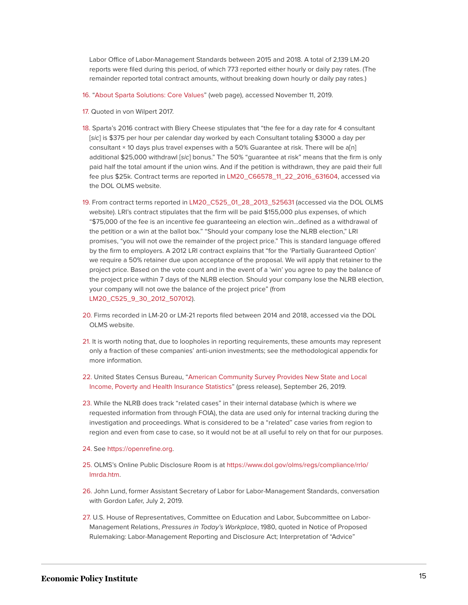Labor Office of Labor-Management Standards between 2015 and 2018. A total of 2,139 LM-20 reports were filed during this period, of which 773 reported either hourly or daily pay rates. (The remainder reported total contract amounts, without breaking down hourly or daily pay rates.)

- <span id="page-15-0"></span>[16.](#page-9-0) ["About Sparta Solutions: Core Values](http://spartasolutions.com/about-sparta)" (web page), accessed November 11, 2019.
- <span id="page-15-1"></span>[17.](#page-9-1) Quoted in von Wilpert 2017.
- <span id="page-15-2"></span>[18.](#page-9-2) Sparta's 2016 contract with Biery Cheese stipulates that "the fee for a day rate for 4 consultant [sic] is \$375 per hour per calendar day worked by each Consultant totaling \$3000 a day per consultant × 10 days plus travel expenses with a 50% Guarantee at risk. There will be a[n] additional \$25,000 withdrawl [sic] bonus." The 50% "guarantee at risk" means that the firm is only paid half the total amount if the union wins. And if the petition is withdrawn, they are paid their full fee plus \$25k. Contract terms are reported in [LM20\\_C66578\\_11\\_22\\_2016\\_631604,](https://www.epi.org/files/uploads/LM20_C66578_11_22_2016_631604-copy.pdf) accessed via the DOL OLMS website.
- <span id="page-15-3"></span>[19.](#page-9-3) From contract terms reported in [LM20\\_C525\\_01\\_28\\_2013\\_525631](https://www.epi.org/files/uploads/LM20_C525_01_28_2013_525631-copy.pdf) (accessed via the DOL OLMS website). LRI's contract stipulates that the firm will be paid \$155,000 plus expenses, of which "\$75,000 of the fee is an incentive fee guaranteeing an election win…defined as a withdrawal of the petition or a win at the ballot box." "Should your company lose the NLRB election," LRI promises, "you will not owe the remainder of the project price." This is standard language offered by the firm to employers. A 2012 LRI contract explains that "for the 'Partially Guaranteed Option' we require a 50% retainer due upon acceptance of the proposal. We will apply that retainer to the project price. Based on the vote count and in the event of a 'win' you agree to pay the balance of the project price within 7 days of the NLRB election. Should your company lose the NLRB election, your company will not owe the balance of the project price" (from LM20 C525 9 30 2012 507012).
- <span id="page-15-4"></span>[20.](#page-9-4) Firms recorded in LM-20 or LM-21 reports filed between 2014 and 2018, accessed via the DOL OLMS website.
- <span id="page-15-5"></span>[21.](#page-9-5) It is worth noting that, due to loopholes in reporting requirements, these amounts may represent only a fraction of these companies' anti-union investments; see the methodological appendix for more information.
- <span id="page-15-6"></span>[22.](#page-9-6) United States Census Bureau, ["American Community Survey Provides New State and Local](https://www.census.gov/newsroom/press-releases/2019/acs-1year.html) [Income, Poverty and Health Insurance Statistics](https://www.census.gov/newsroom/press-releases/2019/acs-1year.html)" (press release), September 26, 2019.
- <span id="page-15-7"></span>[23.](#page-10-0) While the NLRB does track "related cases" in their internal database (which is where we requested information from through FOIA), the data are used only for internal tracking during the investigation and proceedings. What is considered to be a "related" case varies from region to region and even from case to case, so it would not be at all useful to rely on that for our purposes.
- <span id="page-15-8"></span>[24.](#page-10-1) See [https://openrefine.org.](https://openrefine.org/)
- <span id="page-15-9"></span>[25.](#page-11-0) OLMS's Online Public Disclosure Room is at [https://www.dol.gov/olms/regs/compliance/rrlo/](https://www.dol.gov/olms/regs/compliance/rrlo/lmrda.htm) [lmrda.htm](https://www.dol.gov/olms/regs/compliance/rrlo/lmrda.htm).
- <span id="page-15-10"></span>[26.](#page-12-0) John Lund, former Assistant Secretary of Labor for Labor-Management Standards, conversation with Gordon Lafer, July 2, 2019.
- <span id="page-15-11"></span>[27.](#page-12-1) U.S. House of Representatives, Committee on Education and Labor, Subcommittee on Labor-Management Relations, Pressures in Today's Workplace, 1980, quoted in Notice of Proposed Rulemaking: Labor-Management Reporting and Disclosure Act; Interpretation of "Advice"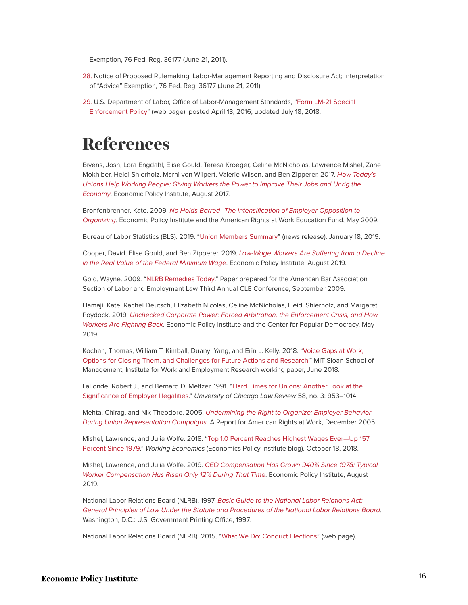Exemption, 76 Fed. Reg. 36177 (June 21, 2011).

- <span id="page-16-0"></span>[28.](#page-12-2) Notice of Proposed Rulemaking: Labor-Management Reporting and Disclosure Act; Interpretation of "Advice" Exemption, 76 Fed. Reg. 36177 (June 21, 2011).
- <span id="page-16-1"></span>[29.](#page-13-0) U.S. Department of Labor, Office of Labor-Management Standards, "[Form LM-21 Special](https://www.dol.gov/olms/regs/compliance/ecr/lm21_specialenforce.htm) [Enforcement Policy"](https://www.dol.gov/olms/regs/compliance/ecr/lm21_specialenforce.htm) (web page), posted April 13, 2016; updated July 18, 2018.

## **References**

Bivens, Josh, Lora Engdahl, Elise Gould, Teresa Kroeger, Celine McNicholas, Lawrence Mishel, Zane Mokhiber, Heidi Shierholz, Marni von Wilpert, Valerie Wilson, and Ben Zipperer. 2017. [How Today's](https://www.epi.org/publication/how-todays-unions-help-working-people-giving-workers-the-power-to-improve-their-jobs-and-unrig-the-economy/) [Unions Help Working People: Giving Workers the Power to Improve Their Jobs and Unrig the](https://www.epi.org/publication/how-todays-unions-help-working-people-giving-workers-the-power-to-improve-their-jobs-and-unrig-the-economy/) [Economy](https://www.epi.org/publication/how-todays-unions-help-working-people-giving-workers-the-power-to-improve-their-jobs-and-unrig-the-economy/). Economic Policy Institute, August 2017.

Bronfenbrenner, Kate. 2009. [No Holds Barred–The Intensification of Employer Opposition to](https://www.epi.org/page/-/pdf/bp235.pdf) [Organizing](https://www.epi.org/page/-/pdf/bp235.pdf). Economic Policy Institute and the American Rights at Work Education Fund, May 2009.

Bureau of Labor Statistics (BLS). 2019. "[Union Members Summary"](https://www.bls.gov/news.release/union2.nr0.htm) (news release). January 18, 2019.

Cooper, David, Elise Gould, and Ben Zipperer. 2019. [Low-Wage Workers Are Suffering from a Decline](https://www.epi.org/publication/labor-day-2019-minimum-wage/) [in the Real Value of the Federal Minimum Wage](https://www.epi.org/publication/labor-day-2019-minimum-wage/). Economic Policy Institute, August 2019.

Gold, Wayne. 2009. "[NLRB Remedies Today.](https://onlabor.org/wp-content/uploads/2015/05/156.authcheckdam.pdf)" Paper prepared for the American Bar Association Section of Labor and Employment Law Third Annual CLE Conference, September 2009.

Hamaji, Kate, Rachel Deutsch, Elizabeth Nicolas, Celine McNicholas, Heidi Shierholz, and Margaret Poydock. 2019. [Unchecked Corporate Power: Forced Arbitration, the Enforcement Crisis, and How](https://www.epi.org/publication/unchecked-corporate-power/) [Workers Are Fighting Back](https://www.epi.org/publication/unchecked-corporate-power/). Economic Policy Institute and the Center for Popular Democracy, May 2019.

Kochan, Thomas, William T. Kimball, Duanyi Yang, and Erin L. Kelly. 2018. ["Voice Gaps at Work,](https://gcgj.mit.edu/sites/default/files/imce/resource-uploads/Kochan%20et%20al.%20Worker%20Voice%20Survey%20Paper%20June%202018.pdf) [Options for Closing Them, and Challenges for Future Actions and Research](https://gcgj.mit.edu/sites/default/files/imce/resource-uploads/Kochan%20et%20al.%20Worker%20Voice%20Survey%20Paper%20June%202018.pdf)." MIT Sloan School of Management, Institute for Work and Employment Research working paper, June 2018.

LaLonde, Robert J., and Bernard D. Meltzer. 1991. ["Hard Times for Unions: Another Look at the](https://chicagounbound.uchicago.edu/uclrev/vol58/iss3/3/) [Significance of Employer Illegalities.](https://chicagounbound.uchicago.edu/uclrev/vol58/iss3/3/)" University of Chicago Law Review 58, no. 3: 953–1014.

Mehta, Chirag, and Nik Theodore. 2005. [Undermining the Right to Organize: Employer Behavior](http://citeseerx.ist.psu.edu/viewdoc/download?doi=10.1.1.686.9175&rep=rep1&type=pdf) [During Union Representation Campaigns](http://citeseerx.ist.psu.edu/viewdoc/download?doi=10.1.1.686.9175&rep=rep1&type=pdf). A Report for American Rights at Work, December 2005.

Mishel, Lawrence, and Julia Wolfe. 2018. "[Top 1.0 Percent Reaches Highest Wages Ever—Up 157](https://www.epi.org/blog/top-1-0-percent-reaches-highest-wages-ever-up-157-percent-since-1979/) [Percent Since 1979](https://www.epi.org/blog/top-1-0-percent-reaches-highest-wages-ever-up-157-percent-since-1979/)." Working Economics (Economics Policy Institute blog), October 18, 2018.

Mishel, Lawrence, and Julia Wolfe. 2019. [CEO Compensation Has Grown 940% Since 1978: Typical](https://www.epi.org/publication/ceo-compensation-2018/) [Worker Compensation Has Risen Only 12% During That Time](https://www.epi.org/publication/ceo-compensation-2018/). Economic Policy Institute, August 2019.

National Labor Relations Board (NLRB). 1997. [Basic Guide to the National Labor](https://www.nlrb.gov/sites/default/files/attachments/basic-page/node-3024/basicguide.pdf) Relations Act: [General Principles of Law Under the Statute and Procedures of the National Labor Relations Board](https://www.nlrb.gov/sites/default/files/attachments/basic-page/node-3024/basicguide.pdf). Washington, D.C.: U.S. Government Printing Office, 1997.

National Labor Relations Board (NLRB). 2015. ["What We Do: Conduct Elections"](https://www.nlrb.gov/about-nlrb/what-we-do/conduct-elections) (web page).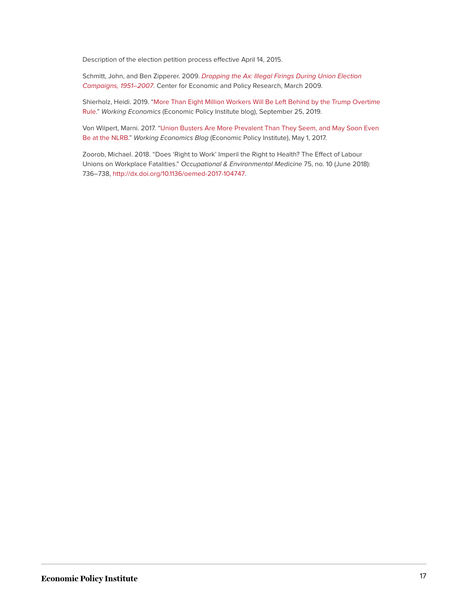Description of the election petition process effective April 14, 2015.

Schmitt, John, and Ben Zipperer. 2009. [Dropping the Ax: Illegal Firings During Union Election](http://cepr.net/documents/publications/dropping-the-ax-update-2009-03.pdf) [Campaigns, 1951–2007](http://cepr.net/documents/publications/dropping-the-ax-update-2009-03.pdf). Center for Economic and Policy Research, March 2009.

Shierholz, Heidi. 2019. ["More Than Eight Million Workers Will Be Left Behind by the Trump Overtime](https://www.epi.org/blog/more-than-eight-million-workers-will-be-left-behind-by-the-trump-overtime-rule-workers-would-receive-1-4-billion-less-than-under-the-2016-rule/) [Rule.](https://www.epi.org/blog/more-than-eight-million-workers-will-be-left-behind-by-the-trump-overtime-rule-workers-would-receive-1-4-billion-less-than-under-the-2016-rule/)" Working Economics (Economic Policy Institute blog), September 25, 2019.

Von Wilpert, Marni. 2017. "[Union Busters Are More Prevalent Than They Seem, and May Soon Even](https://www.epi.org/blog/union-busters-are-more-prevalent-than-they-seem-and-may-soon-even-be-at-the-nlrb/) [Be at the NLRB.](https://www.epi.org/blog/union-busters-are-more-prevalent-than-they-seem-and-may-soon-even-be-at-the-nlrb/)" Working Economics Blog (Economic Policy Institute), May 1, 2017.

Zoorob, Michael. 2018. "Does 'Right to Work' Imperil the Right to Health? The Effect of Labour Unions on Workplace Fatalities." Occupational & Environmental Medicine 75, no. 10 (June 2018): 736–738, [http://dx.doi.org/10.1136/oemed-2017-104747](https://dx.doi.org/10.1136/oemed-2017-104747).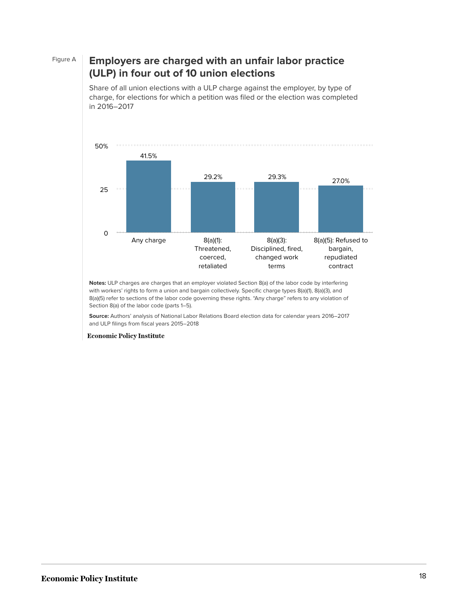#### Figure A **Employers are charged with an unfair labor practice (ULP) in four out of 10 union elections**

Share of all union elections with a ULP charge against the employer, by type of charge, for elections for which a petition was filed or the election was completed in 2016–2017



**Notes:** ULP charges are charges that an employer violated Section 8(a) of the labor code by interfering with workers' rights to form a union and bargain collectively. Specific charge types 8(a)(1), 8(a)(3), and 8(a)(5) refer to sections of the labor code governing these rights. "Any charge" refers to any violation of Section 8(a) of the labor code (parts 1–5).

**Source:** Authors' analysis of National Labor Relations Board election data for calendar years 2016–2017 and ULP filings from fiscal years 2015–2018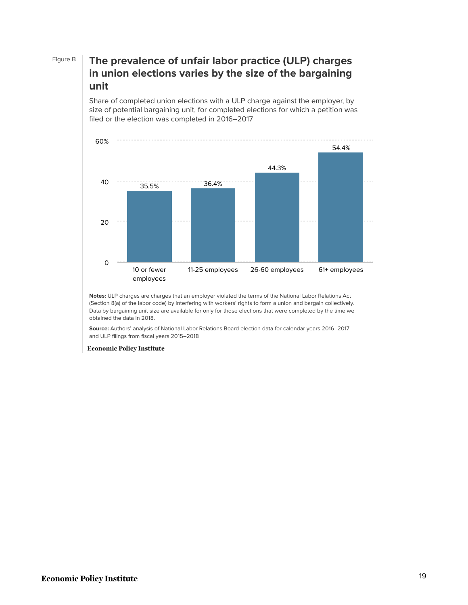#### Figure B **The prevalence of unfair labor practice (ULP) charges in union elections varies by the size of the bargaining unit**

Share of completed union elections with a ULP charge against the employer, by size of potential bargaining unit, for completed elections for which a petition was filed or the election was completed in 2016–2017



**Notes:** ULP charges are charges that an employer violated the terms of the National Labor Relations Act (Section 8(a) of the labor code) by interfering with workers' rights to form a union and bargain collectively. Data by bargaining unit size are available for only for those elections that were completed by the time we obtained the data in 2018.

**Source:** Authors' analysis of National Labor Relations Board election data for calendar years 2016–2017 and ULP filings from fiscal years 2015–2018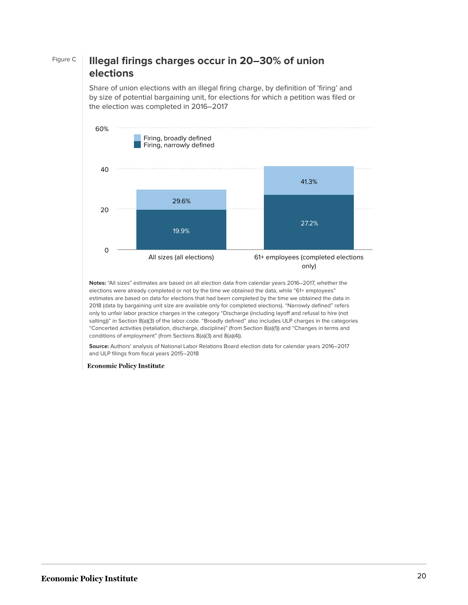### Figure C **Illegal firings charges occur in 20–30% of union elections**

Share of union elections with an illegal firing charge, by definition of 'firing' and by size of potential bargaining unit, for elections for which a petition was filed or the election was completed in 2016–2017



**Notes:** "All sizes" estimates are based on all election data from calendar years 2016–2017, whether the elections were already completed or not by the time we obtained the data, while "61+ employees" estimates are based on data for elections that had been completed by the time we obtained the data in 2018 (data by bargaining unit size are available only for completed elections). "Narrowly defined" refers only to unfair labor practice charges in the category "Discharge (including layoff and refusal to hire (not salting))" in Section 8(a)(3) of the labor code. "Broadly defined" also includes ULP charges in the categories "Concerted activities (retaliation, discharge, discipline)" (from Section 8(a)(1)) and "Changes in terms and conditions of employment" (from Sections 8(a)(3) and 8(a)(4)).

**Source:** Authors' analysis of National Labor Relations Board election data for calendar years 2016–2017 and ULP filings from fiscal years 2015–2018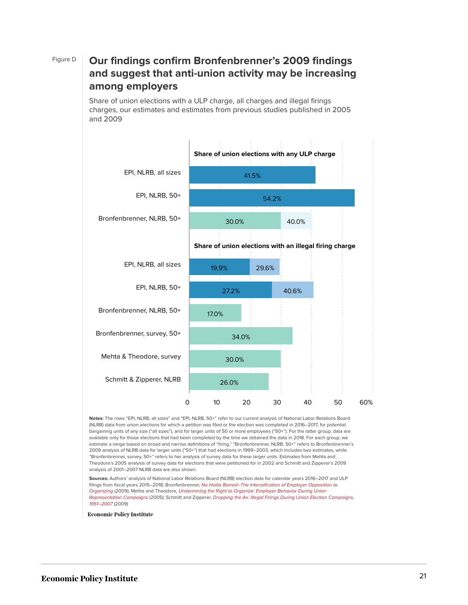### Figure D **Our findings confirm Bronfenbrenner's 2009 findings and suggest that anti-union activity may be increasing among employers**

Share of union elections with a ULP charge, all charges and illegal firings charges, our estimates and estimates from previous studies published in 2005 and 2009



**Notes:** The rows "EPI, NLRB, all sizes" and "EPI, NLRB, 50+" refer to our current analysis of National Labor Relations Board (NLRB) data from union elections for which a petition was filed or the election was completed in 2016–2017, for potential bargaining units of any size ("all sizes"), and for larger units of 50 or more employees ("50+"). For the latter group, data are available only for those elections that had been completed by the time we obtained the data in 2018. For each group, we estimate a range based on broad and narrow definitions of "firing." "Bronfenbrenner, NLRB, 50+" refers to Bronfenbrenner's 2009 analysis of NLRB data for larger units ("50+") that had elections in 1999–2003, which includes two estimates, while "Bronfenbrenner, survey, 50+" refers to her analysis of survey data for these larger units. Estimates from Mehta and Theodore's 2005 analysis of survey data for elections that were petitioned for in 2002 and Schmitt and Zipperer's 2009 analysis of 2001–2007 NLRB data are also shown.

**Sources:** Authors' analysis of National Labor Relations Board (NLRB) election data for calendar years 2016–2017 and ULP filings from fiscal years 2015–2018; Bronfenbrenner, [No Holds Barred–The Intensification of Employer Opposition to](https://www.epi.org/page/-/pdf/bp235.pdf) [Organizing](https://www.epi.org/page/-/pdf/bp235.pdf) (2009); Mehta and Theodore, [Undermining the Right to Organize: Employer Behavior During Union](http://citeseerx.ist.psu.edu/viewdoc/download?doi=10.1.1.686.9175&rep=rep1&type=pdf) [Representation Campaigns](http://citeseerx.ist.psu.edu/viewdoc/download?doi=10.1.1.686.9175&rep=rep1&type=pdf) (2005); Schmitt and Zipperer, [Dropping the Ax: Illegal Firings During Union Election](http://cepr.net/documents/publications/dropping-the-ax-update-2009-03.pdf) [Campaigns,](http://cepr.net/documents/publications/dropping-the-ax-update-2009-03.pdf) [1951–2007](http://cepr.net/documents/publications/dropping-the-ax-update-2009-03.pdf) (2009)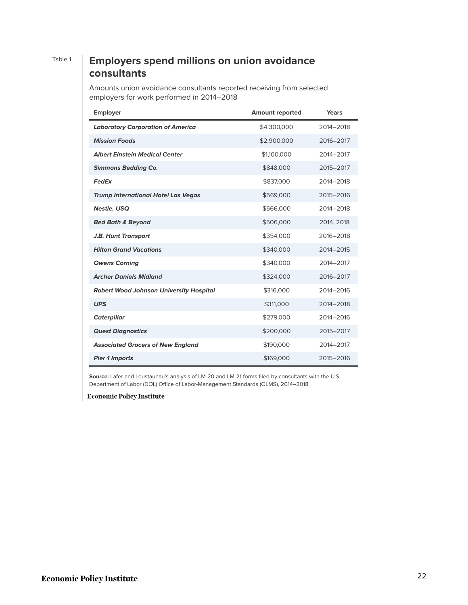### Table 1 **Employers spend millions on union avoidance consultants**

Amounts union avoidance consultants reported receiving from selected employers for work performed in 2014–2018

| <b>Employer</b>                                | <b>Amount reported</b> | Years      |
|------------------------------------------------|------------------------|------------|
| <b>Laboratory Corporation of America</b>       | \$4,300,000            | 2014-2018  |
| <b>Mission Foods</b>                           | \$2,900,000            | 2016-2017  |
| <b>Albert Einstein Medical Center</b>          | \$1,100,000            | 2014-2017  |
| <b>Simmons Bedding Co.</b>                     | \$848,000              | 2015-2017  |
| FedEx                                          | \$837,000              | 2014-2018  |
| <b>Trump International Hotel Las Vegas</b>     | \$569,000              | 2015-2016  |
| <b>Nestle, USQ</b>                             | \$566,000              | 2014-2018  |
| <b>Bed Bath &amp; Beyond</b>                   | \$506,000              | 2014, 2018 |
| J.B. Hunt Transport                            | \$354,000              | 2016-2018  |
| <b>Hilton Grand Vacations</b>                  | \$340,000              | 2014-2015  |
| <b>Owens Corning</b>                           | \$340,000              | 2014-2017  |
| <b>Archer Daniels Midland</b>                  | \$324,000              | 2016-2017  |
| <b>Robert Wood Johnson University Hospital</b> | \$316,000              | 2014-2016  |
| <b>UPS</b>                                     | \$311,000              | 2014-2018  |
| <b>Caterpillar</b>                             | \$279,000              | 2014-2016  |
| <b>Quest Diagnostics</b>                       | \$200,000              | 2015-2017  |
| <b>Associated Grocers of New England</b>       | \$190,000              | 2014-2017  |
| <b>Pier 1 Imports</b>                          | \$169,000              | 2015-2016  |

**Source:** Lafer and Loustaunau's analysis of LM-20 and LM-21 forms filed by consultants with the U.S. Department of Labor (DOL) Office of Labor-Management Standards (OLMS), 2014–2018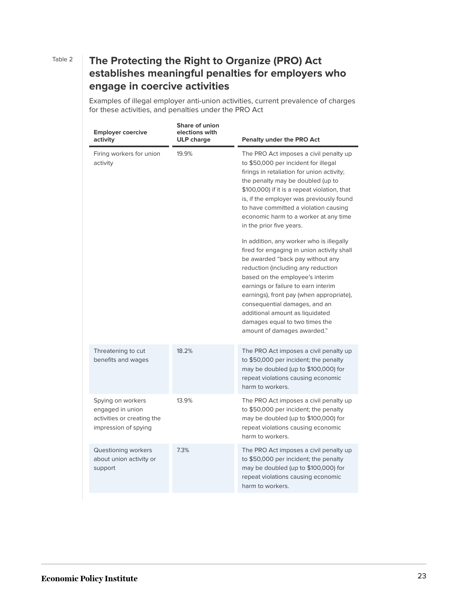### Table 2 **The Protecting the Right to Organize (PRO) Act establishes meaningful penalties for employers who engage in coercive activities**

Examples of illegal employer anti-union activities, current prevalence of charges for these activities, and penalties under the PRO Act

| <b>Employer coercive</b><br>activity                                                        | <b>Share of union</b><br>elections with<br><b>ULP</b> charge | <b>Penalty under the PRO Act</b>                                                                                                                                                                                                                                                                                                                                                                                            |  |
|---------------------------------------------------------------------------------------------|--------------------------------------------------------------|-----------------------------------------------------------------------------------------------------------------------------------------------------------------------------------------------------------------------------------------------------------------------------------------------------------------------------------------------------------------------------------------------------------------------------|--|
| Firing workers for union<br>activity                                                        | 19.9%                                                        | The PRO Act imposes a civil penalty up<br>to \$50,000 per incident for illegal<br>firings in retaliation for union activity;<br>the penalty may be doubled (up to<br>\$100,000) if it is a repeat violation, that<br>is, if the employer was previously found<br>to have committed a violation causing<br>economic harm to a worker at any time<br>in the prior five years.                                                 |  |
|                                                                                             |                                                              | In addition, any worker who is illegally<br>fired for engaging in union activity shall<br>be awarded "back pay without any<br>reduction (including any reduction<br>based on the employee's interim<br>earnings or failure to earn interim<br>earnings), front pay (when appropriate),<br>consequential damages, and an<br>additional amount as liquidated<br>damages equal to two times the<br>amount of damages awarded." |  |
| Threatening to cut<br>benefits and wages                                                    | 18.2%                                                        | The PRO Act imposes a civil penalty up<br>to \$50,000 per incident; the penalty<br>may be doubled (up to \$100,000) for<br>repeat violations causing economic<br>harm to workers.                                                                                                                                                                                                                                           |  |
| Spying on workers<br>engaged in union<br>activities or creating the<br>impression of spying | 13.9%                                                        | The PRO Act imposes a civil penalty up<br>to \$50,000 per incident; the penalty<br>may be doubled (up to \$100,000) for<br>repeat violations causing economic<br>harm to workers.                                                                                                                                                                                                                                           |  |
| Questioning workers<br>about union activity or<br>support                                   | 7.3%                                                         | The PRO Act imposes a civil penalty up<br>to \$50,000 per incident; the penalty<br>may be doubled (up to \$100,000) for<br>repeat violations causing economic<br>harm to workers.                                                                                                                                                                                                                                           |  |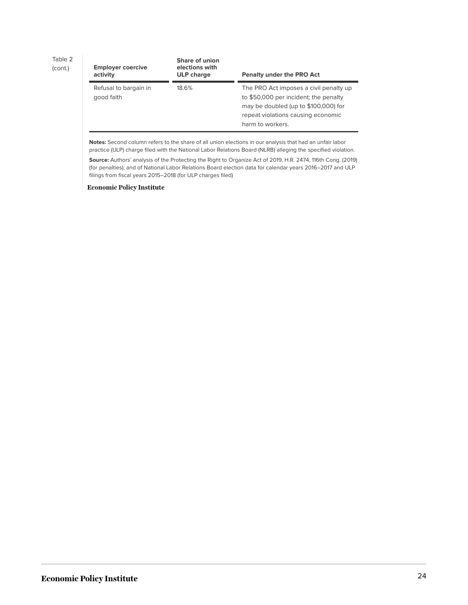Table 2

(cont.)

| <b>Employer coercive</b><br>activity | Share of union<br>elections with<br><b>ULP</b> charge | <b>Penalty under the PRO Act</b>                                                                                                                                                  |
|--------------------------------------|-------------------------------------------------------|-----------------------------------------------------------------------------------------------------------------------------------------------------------------------------------|
| Refusal to bargain in<br>good faith  | 18.6%                                                 | The PRO Act imposes a civil penalty up<br>to \$50,000 per incident; the penalty<br>may be doubled (up to \$100,000) for<br>repeat violations causing economic<br>harm to workers. |

**Notes:** Second column refers to the share of all union elections in our analysis that had an unfair labor practice (ULP) charge filed with the National Labor Relations Board (NLRB) alleging the specified violation.

**Source:** Authors' analysis of the Protecting the Right to Organize Act of 2019, H.R. 2474, 116th Cong. (2019) (for penalties); and of National Labor Relations Board election data for calendar years 2016–2017 and ULP filings from fiscal years 2015–2018 (for ULP charges filed)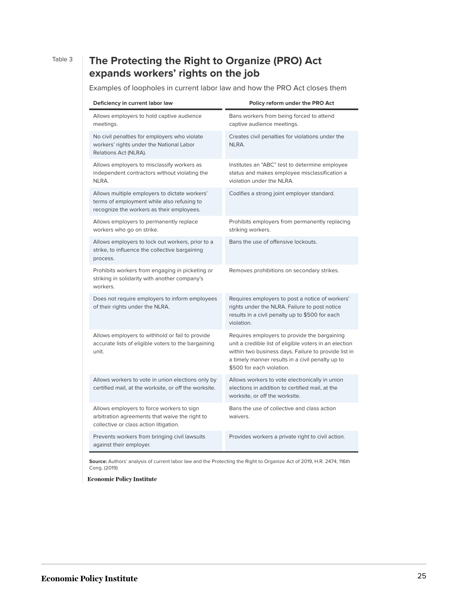## Table 3 **The Protecting the Right to Organize (PRO) Act expands workers' rights on the job**

Examples of loopholes in current labor law and how the PRO Act closes them

| Deficiency in current labor law                                                                                                          | Policy reform under the PRO Act                                                                                                                                                                                                                 |
|------------------------------------------------------------------------------------------------------------------------------------------|-------------------------------------------------------------------------------------------------------------------------------------------------------------------------------------------------------------------------------------------------|
| Allows employers to hold captive audience<br>meetings.                                                                                   | Bans workers from being forced to attend<br>captive audience meetings.                                                                                                                                                                          |
| No civil penalties for employers who violate<br>workers' rights under the National Labor<br>Relations Act (NLRA).                        | Creates civil penalties for violations under the<br>NLRA.                                                                                                                                                                                       |
| Allows employers to misclassify workers as<br>independent contractors without violating the<br>NLRA.                                     | Institutes an "ABC" test to determine employee<br>status and makes employee misclassification a<br>violation under the NLRA.                                                                                                                    |
| Allows multiple employers to dictate workers'<br>terms of employment while also refusing to<br>recognize the workers as their employees. | Codifies a strong joint employer standard.                                                                                                                                                                                                      |
| Allows employers to permanently replace<br>workers who go on strike.                                                                     | Prohibits employers from permanently replacing<br>striking workers.                                                                                                                                                                             |
| Allows employers to lock out workers, prior to a<br>strike, to influence the collective bargaining<br>process.                           | Bans the use of offensive lockouts.                                                                                                                                                                                                             |
| Prohibits workers from engaging in picketing or<br>striking in solidarity with another company's<br>workers.                             | Removes prohibitions on secondary strikes.                                                                                                                                                                                                      |
| Does not require employers to inform employees<br>of their rights under the NLRA.                                                        | Requires employers to post a notice of workers'<br>rights under the NLRA. Failure to post notice<br>results in a civil penalty up to \$500 for each<br>violation.                                                                               |
| Allows employers to withhold or fail to provide<br>accurate lists of eligible voters to the bargaining<br>unit.                          | Requires employers to provide the bargaining<br>unit a credible list of eligible voters in an election<br>within two business days. Failure to provide list in<br>a timely manner results in a civil penalty up to<br>\$500 for each violation. |
| Allows workers to vote in union elections only by<br>certified mail, at the worksite, or off the worksite.                               | Allows workers to vote electronically in union<br>elections in addition to certified mail, at the<br>worksite, or off the worksite.                                                                                                             |
| Allows employers to force workers to sign<br>arbitration agreements that waive the right to<br>collective or class action litigation.    | Bans the use of collective and class action<br>waivers.                                                                                                                                                                                         |
| Prevents workers from bringing civil lawsuits<br>against their employer.                                                                 | Provides workers a private right to civil action.                                                                                                                                                                                               |

**Source:** Authors' analysis of current labor law and the Protecting the Right to Organize Act of 2019, H.R. 2474, 116th Cong. (2019)